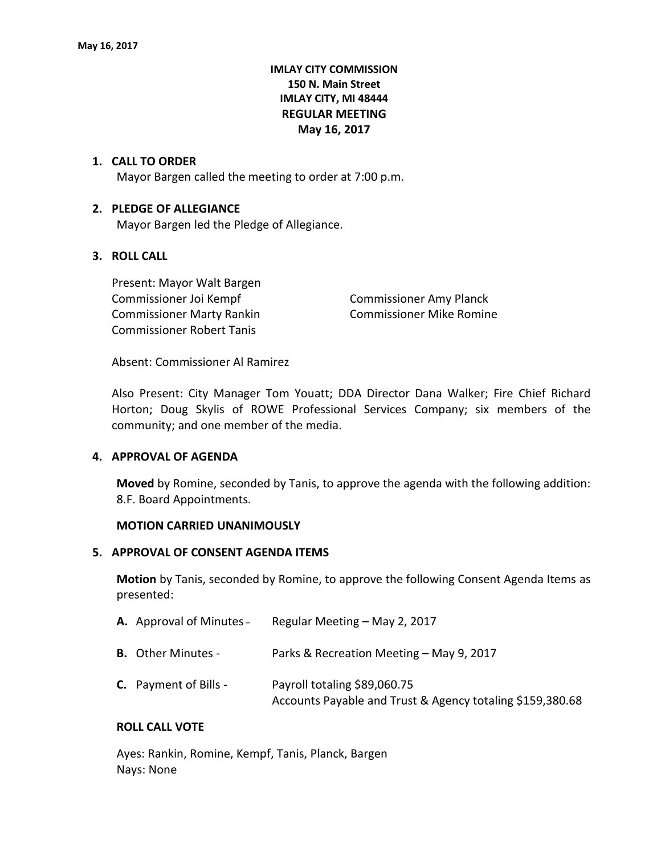# **IMLAY CITY COMMISSION 150 N. Main Street IMLAY CITY, MI 48444 REGULAR MEETING May 16, 2017**

## **1. CALL TO ORDER**

Mayor Bargen called the meeting to order at 7:00 p.m.

## **2. PLEDGE OF ALLEGIANCE**

Mayor Bargen led the Pledge of Allegiance.

# **3. ROLL CALL**

Present: Mayor Walt Bargen Commissioner Joi Kempf Commissioner Amy Planck Commissioner Marty Rankin Commissioner Mike Romine Commissioner Robert Tanis

Absent: Commissioner Al Ramirez

Also Present: City Manager Tom Youatt; DDA Director Dana Walker; Fire Chief Richard Horton; Doug Skylis of ROWE Professional Services Company; six members of the community; and one member of the media.

#### **4. APPROVAL OF AGENDA**

**Moved** by Romine, seconded by Tanis, to approve the agenda with the following addition: 8.F. Board Appointments.

#### **MOTION CARRIED UNANIMOUSLY**

## **5. APPROVAL OF CONSENT AGENDA ITEMS**

**Motion** by Tanis, seconded by Romine, to approve the following Consent Agenda Items as presented:

| <b>A.</b> Approval of Minutes - | Regular Meeting - May 2, 2017                                                             |
|---------------------------------|-------------------------------------------------------------------------------------------|
| <b>B.</b> Other Minutes -       | Parks & Recreation Meeting - May 9, 2017                                                  |
| <b>C.</b> Payment of Bills -    | Payroll totaling \$89,060.75<br>Accounts Payable and Trust & Agency totaling \$159,380.68 |

#### **ROLL CALL VOTE**

Ayes: Rankin, Romine, Kempf, Tanis, Planck, Bargen Nays: None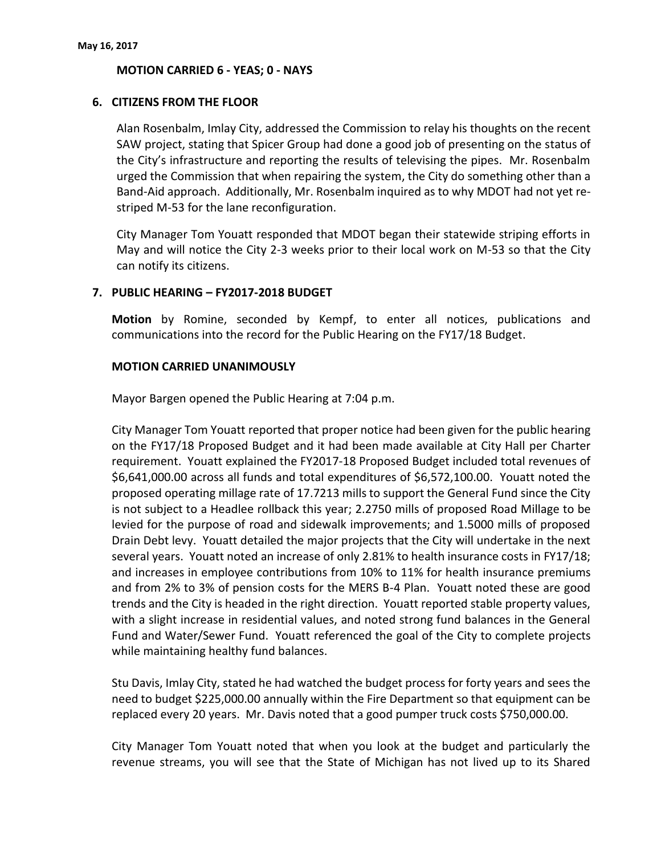## **MOTION CARRIED 6 - YEAS; 0 - NAYS**

## **6. CITIZENS FROM THE FLOOR**

Alan Rosenbalm, Imlay City, addressed the Commission to relay his thoughts on the recent SAW project, stating that Spicer Group had done a good job of presenting on the status of the City's infrastructure and reporting the results of televising the pipes. Mr. Rosenbalm urged the Commission that when repairing the system, the City do something other than a Band-Aid approach. Additionally, Mr. Rosenbalm inquired as to why MDOT had not yet restriped M-53 for the lane reconfiguration.

City Manager Tom Youatt responded that MDOT began their statewide striping efforts in May and will notice the City 2-3 weeks prior to their local work on M-53 so that the City can notify its citizens.

## **7. PUBLIC HEARING – FY2017-2018 BUDGET**

**Motion** by Romine, seconded by Kempf, to enter all notices, publications and communications into the record for the Public Hearing on the FY17/18 Budget.

## **MOTION CARRIED UNANIMOUSLY**

Mayor Bargen opened the Public Hearing at 7:04 p.m.

City Manager Tom Youatt reported that proper notice had been given for the public hearing on the FY17/18 Proposed Budget and it had been made available at City Hall per Charter requirement. Youatt explained the FY2017-18 Proposed Budget included total revenues of \$6,641,000.00 across all funds and total expenditures of \$6,572,100.00. Youatt noted the proposed operating millage rate of 17.7213 mills to support the General Fund since the City is not subject to a Headlee rollback this year; 2.2750 mills of proposed Road Millage to be levied for the purpose of road and sidewalk improvements; and 1.5000 mills of proposed Drain Debt levy. Youatt detailed the major projects that the City will undertake in the next several years. Youatt noted an increase of only 2.81% to health insurance costs in FY17/18; and increases in employee contributions from 10% to 11% for health insurance premiums and from 2% to 3% of pension costs for the MERS B-4 Plan. Youatt noted these are good trends and the City is headed in the right direction. Youatt reported stable property values, with a slight increase in residential values, and noted strong fund balances in the General Fund and Water/Sewer Fund. Youatt referenced the goal of the City to complete projects while maintaining healthy fund balances.

Stu Davis, Imlay City, stated he had watched the budget process for forty years and sees the need to budget \$225,000.00 annually within the Fire Department so that equipment can be replaced every 20 years. Mr. Davis noted that a good pumper truck costs \$750,000.00.

City Manager Tom Youatt noted that when you look at the budget and particularly the revenue streams, you will see that the State of Michigan has not lived up to its Shared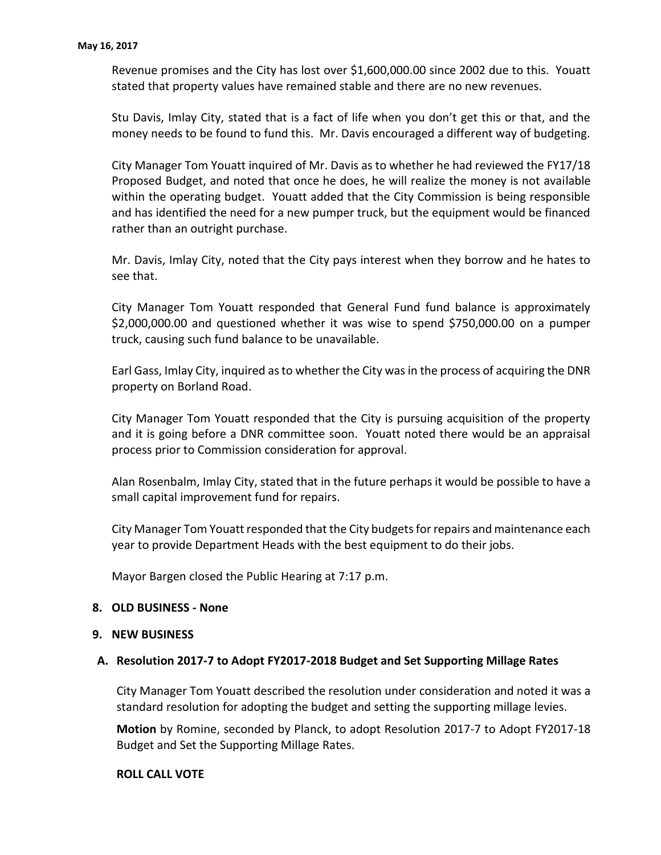Revenue promises and the City has lost over \$1,600,000.00 since 2002 due to this. Youatt stated that property values have remained stable and there are no new revenues.

Stu Davis, Imlay City, stated that is a fact of life when you don't get this or that, and the money needs to be found to fund this. Mr. Davis encouraged a different way of budgeting.

City Manager Tom Youatt inquired of Mr. Davis as to whether he had reviewed the FY17/18 Proposed Budget, and noted that once he does, he will realize the money is not available within the operating budget. Youatt added that the City Commission is being responsible and has identified the need for a new pumper truck, but the equipment would be financed rather than an outright purchase.

Mr. Davis, Imlay City, noted that the City pays interest when they borrow and he hates to see that.

City Manager Tom Youatt responded that General Fund fund balance is approximately \$2,000,000.00 and questioned whether it was wise to spend \$750,000.00 on a pumper truck, causing such fund balance to be unavailable.

Earl Gass, Imlay City, inquired as to whether the City was in the process of acquiring the DNR property on Borland Road.

City Manager Tom Youatt responded that the City is pursuing acquisition of the property and it is going before a DNR committee soon. Youatt noted there would be an appraisal process prior to Commission consideration for approval.

Alan Rosenbalm, Imlay City, stated that in the future perhaps it would be possible to have a small capital improvement fund for repairs.

City Manager Tom Youatt responded that the City budgets for repairs and maintenance each year to provide Department Heads with the best equipment to do their jobs.

Mayor Bargen closed the Public Hearing at 7:17 p.m.

#### **8. OLD BUSINESS - None**

#### **9. NEW BUSINESS**

#### **A. Resolution 2017-7 to Adopt FY2017-2018 Budget and Set Supporting Millage Rates**

City Manager Tom Youatt described the resolution under consideration and noted it was a standard resolution for adopting the budget and setting the supporting millage levies.

**Motion** by Romine, seconded by Planck, to adopt Resolution 2017-7 to Adopt FY2017-18 Budget and Set the Supporting Millage Rates.

### **ROLL CALL VOTE**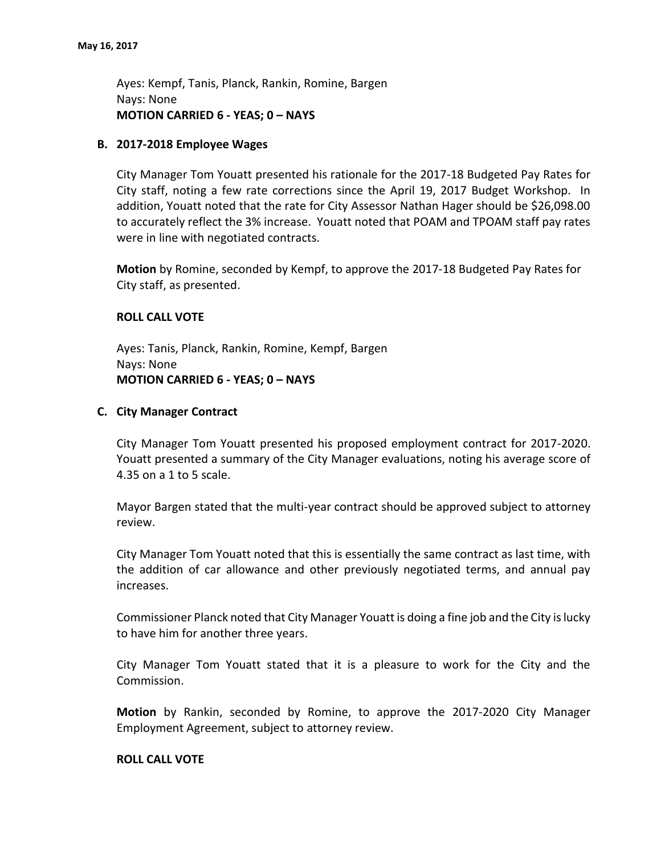Ayes: Kempf, Tanis, Planck, Rankin, Romine, Bargen Nays: None **MOTION CARRIED 6 - YEAS; 0 – NAYS**

#### **B. 2017-2018 Employee Wages**

City Manager Tom Youatt presented his rationale for the 2017-18 Budgeted Pay Rates for City staff, noting a few rate corrections since the April 19, 2017 Budget Workshop. In addition, Youatt noted that the rate for City Assessor Nathan Hager should be \$26,098.00 to accurately reflect the 3% increase. Youatt noted that POAM and TPOAM staff pay rates were in line with negotiated contracts.

**Motion** by Romine, seconded by Kempf, to approve the 2017-18 Budgeted Pay Rates for City staff, as presented.

## **ROLL CALL VOTE**

Ayes: Tanis, Planck, Rankin, Romine, Kempf, Bargen Nays: None **MOTION CARRIED 6 - YEAS; 0 – NAYS**

## **C. City Manager Contract**

City Manager Tom Youatt presented his proposed employment contract for 2017-2020. Youatt presented a summary of the City Manager evaluations, noting his average score of 4.35 on a 1 to 5 scale.

Mayor Bargen stated that the multi-year contract should be approved subject to attorney review.

City Manager Tom Youatt noted that this is essentially the same contract as last time, with the addition of car allowance and other previously negotiated terms, and annual pay increases.

Commissioner Planck noted that City Manager Youatt is doing a fine job and the City is lucky to have him for another three years.

City Manager Tom Youatt stated that it is a pleasure to work for the City and the Commission.

**Motion** by Rankin, seconded by Romine, to approve the 2017-2020 City Manager Employment Agreement, subject to attorney review.

#### **ROLL CALL VOTE**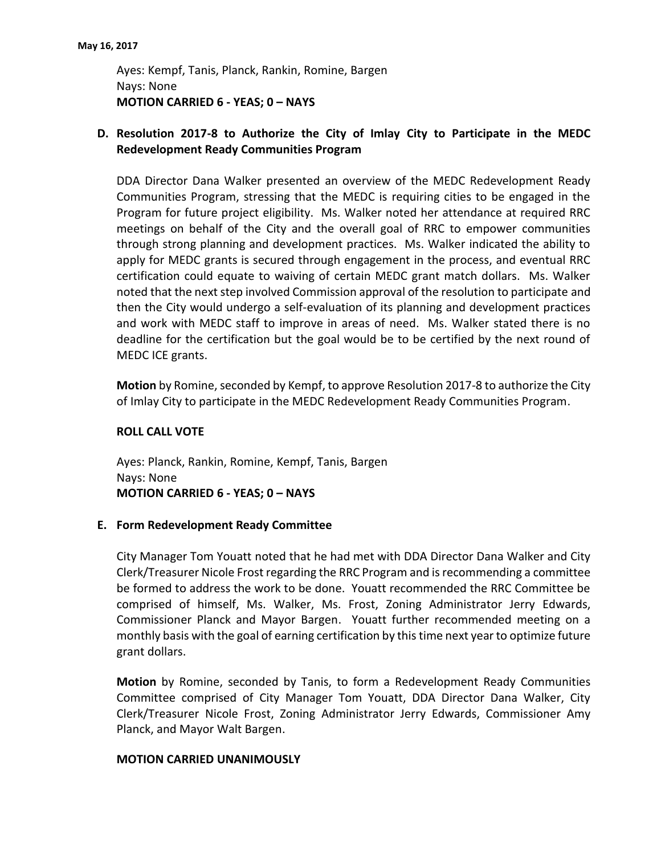Ayes: Kempf, Tanis, Planck, Rankin, Romine, Bargen Nays: None **MOTION CARRIED 6 - YEAS; 0 – NAYS**

# **D. Resolution 2017-8 to Authorize the City of Imlay City to Participate in the MEDC Redevelopment Ready Communities Program**

DDA Director Dana Walker presented an overview of the MEDC Redevelopment Ready Communities Program, stressing that the MEDC is requiring cities to be engaged in the Program for future project eligibility. Ms. Walker noted her attendance at required RRC meetings on behalf of the City and the overall goal of RRC to empower communities through strong planning and development practices. Ms. Walker indicated the ability to apply for MEDC grants is secured through engagement in the process, and eventual RRC certification could equate to waiving of certain MEDC grant match dollars. Ms. Walker noted that the next step involved Commission approval of the resolution to participate and then the City would undergo a self-evaluation of its planning and development practices and work with MEDC staff to improve in areas of need. Ms. Walker stated there is no deadline for the certification but the goal would be to be certified by the next round of MEDC ICE grants.

**Motion** by Romine, seconded by Kempf, to approve Resolution 2017-8 to authorize the City of Imlay City to participate in the MEDC Redevelopment Ready Communities Program.

## **ROLL CALL VOTE**

Ayes: Planck, Rankin, Romine, Kempf, Tanis, Bargen Nays: None **MOTION CARRIED 6 - YEAS; 0 – NAYS**

#### **E. Form Redevelopment Ready Committee**

City Manager Tom Youatt noted that he had met with DDA Director Dana Walker and City Clerk/Treasurer Nicole Frost regarding the RRC Program and is recommending a committee be formed to address the work to be done. Youatt recommended the RRC Committee be comprised of himself, Ms. Walker, Ms. Frost, Zoning Administrator Jerry Edwards, Commissioner Planck and Mayor Bargen. Youatt further recommended meeting on a monthly basis with the goal of earning certification by this time next year to optimize future grant dollars.

**Motion** by Romine, seconded by Tanis, to form a Redevelopment Ready Communities Committee comprised of City Manager Tom Youatt, DDA Director Dana Walker, City Clerk/Treasurer Nicole Frost, Zoning Administrator Jerry Edwards, Commissioner Amy Planck, and Mayor Walt Bargen.

#### **MOTION CARRIED UNANIMOUSLY**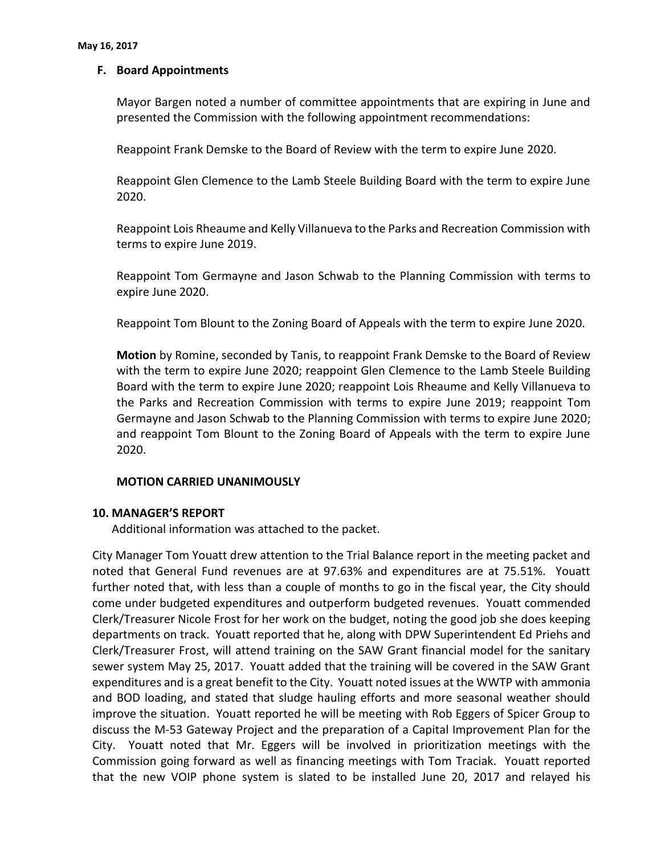## **F. Board Appointments**

Mayor Bargen noted a number of committee appointments that are expiring in June and presented the Commission with the following appointment recommendations:

Reappoint Frank Demske to the Board of Review with the term to expire June 2020.

Reappoint Glen Clemence to the Lamb Steele Building Board with the term to expire June 2020.

Reappoint Lois Rheaume and Kelly Villanueva to the Parks and Recreation Commission with terms to expire June 2019.

Reappoint Tom Germayne and Jason Schwab to the Planning Commission with terms to expire June 2020.

Reappoint Tom Blount to the Zoning Board of Appeals with the term to expire June 2020.

**Motion** by Romine, seconded by Tanis, to reappoint Frank Demske to the Board of Review with the term to expire June 2020; reappoint Glen Clemence to the Lamb Steele Building Board with the term to expire June 2020; reappoint Lois Rheaume and Kelly Villanueva to the Parks and Recreation Commission with terms to expire June 2019; reappoint Tom Germayne and Jason Schwab to the Planning Commission with terms to expire June 2020; and reappoint Tom Blount to the Zoning Board of Appeals with the term to expire June 2020.

#### **MOTION CARRIED UNANIMOUSLY**

#### **10. MANAGER'S REPORT**

Additional information was attached to the packet.

City Manager Tom Youatt drew attention to the Trial Balance report in the meeting packet and noted that General Fund revenues are at 97.63% and expenditures are at 75.51%. Youatt further noted that, with less than a couple of months to go in the fiscal year, the City should come under budgeted expenditures and outperform budgeted revenues. Youatt commended Clerk/Treasurer Nicole Frost for her work on the budget, noting the good job she does keeping departments on track. Youatt reported that he, along with DPW Superintendent Ed Priehs and Clerk/Treasurer Frost, will attend training on the SAW Grant financial model for the sanitary sewer system May 25, 2017. Youatt added that the training will be covered in the SAW Grant expenditures and is a great benefit to the City. Youatt noted issues at the WWTP with ammonia and BOD loading, and stated that sludge hauling efforts and more seasonal weather should improve the situation. Youatt reported he will be meeting with Rob Eggers of Spicer Group to discuss the M-53 Gateway Project and the preparation of a Capital Improvement Plan for the City. Youatt noted that Mr. Eggers will be involved in prioritization meetings with the Commission going forward as well as financing meetings with Tom Traciak. Youatt reported that the new VOIP phone system is slated to be installed June 20, 2017 and relayed his